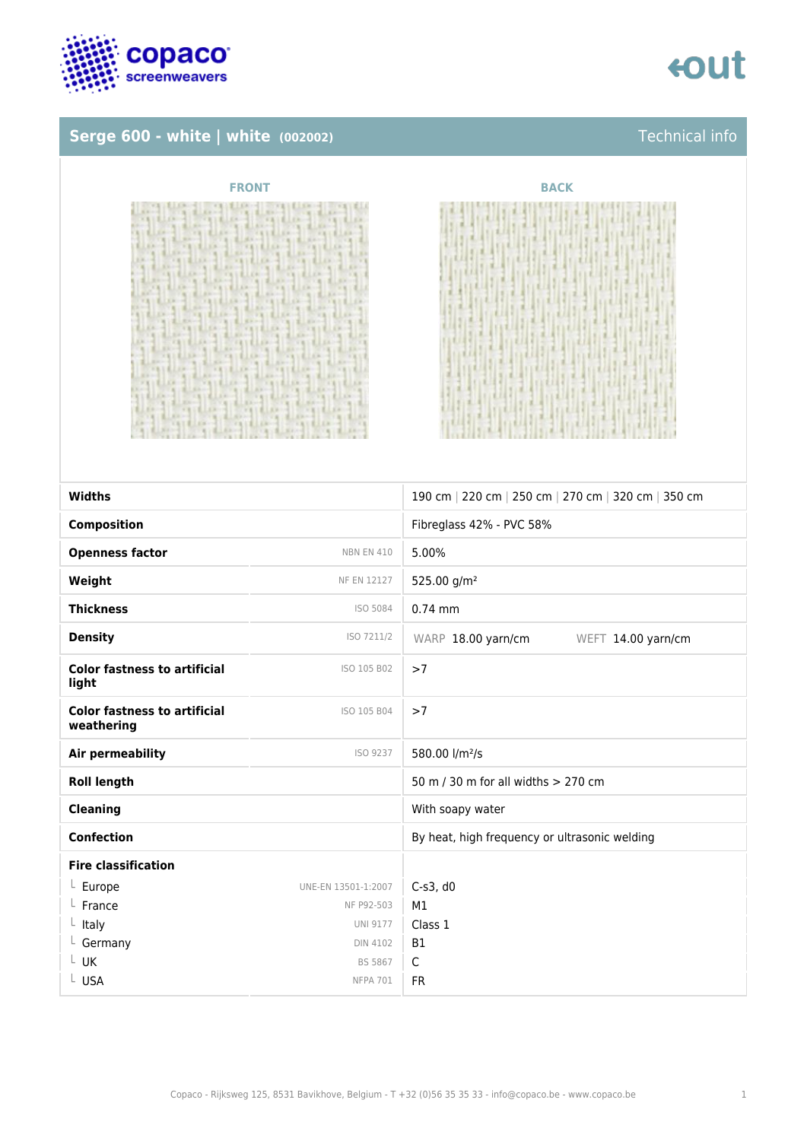



### **Serge 600 - white | white (002002)** Technical info

| <b>FRONT</b> | <b>BACK</b> |
|--------------|-------------|
|--------------|-------------|

| <b>Widths</b>                                     |                     | 190 cm   220 cm   250 cm   270 cm   320 cm   350 cm |
|---------------------------------------------------|---------------------|-----------------------------------------------------|
| <b>Composition</b>                                |                     | Fibreglass 42% - PVC 58%                            |
| <b>Openness factor</b>                            | <b>NBN EN 410</b>   | 5.00%                                               |
| Weight                                            | <b>NF EN 12127</b>  | 525.00 g/m <sup>2</sup>                             |
| <b>Thickness</b>                                  | ISO 5084            | $0.74$ mm                                           |
| <b>Density</b>                                    | ISO 7211/2          | WARP 18.00 yarn/cm<br>WEFT 14.00 yarn/cm            |
| <b>Color fastness to artificial</b><br>light      | ISO 105 B02         | >7                                                  |
| <b>Color fastness to artificial</b><br>weathering | ISO 105 B04         | >7                                                  |
| <b>Air permeability</b>                           | ISO 9237            | 580.00 l/m <sup>2</sup> /s                          |
| <b>Roll length</b>                                |                     | 50 m / 30 m for all widths > 270 cm                 |
| <b>Cleaning</b>                                   |                     | With soapy water                                    |
| <b>Confection</b>                                 |                     | By heat, high frequency or ultrasonic welding       |
| <b>Fire classification</b>                        |                     |                                                     |
| $L$ Europe                                        | UNE-EN 13501-1:2007 | $C-s3$ , d $0$                                      |
| L France                                          | NF P92-503          | M1                                                  |
| $L$ Italy                                         | <b>UNI 9177</b>     | Class 1                                             |
| L Germany                                         | <b>DIN 4102</b>     | <b>B1</b>                                           |
| L UK                                              | <b>BS 5867</b>      | C                                                   |
| L USA                                             | <b>NFPA 701</b>     | <b>FR</b>                                           |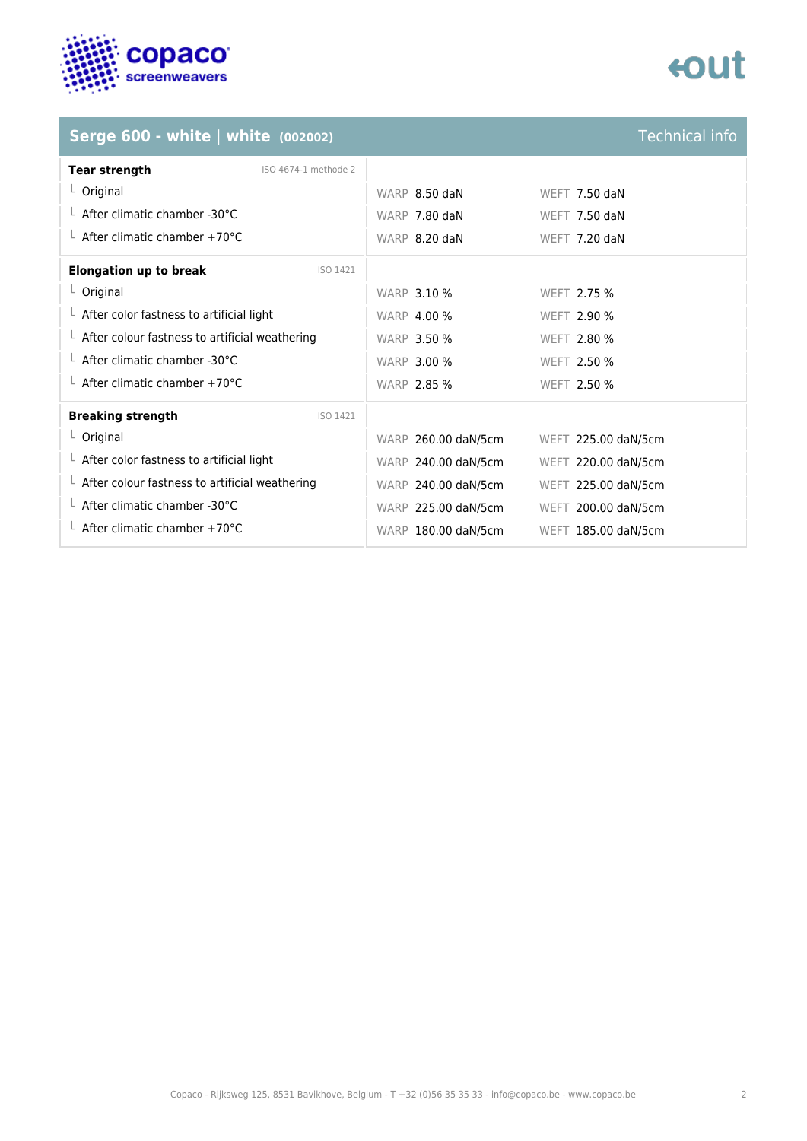

## tout

## **Serge 600 - white | white (002002)**

| <b>Technical inf</b> |  |
|----------------------|--|

| <b>Tear strength</b>                                   | ISO 4674-1 methode 2 |                     |                      |
|--------------------------------------------------------|----------------------|---------------------|----------------------|
| $L$ Original                                           |                      | WARP 8.50 daN       | <b>WEFT 7.50 daN</b> |
| $\perp$ After climatic chamber -30°C                   |                      | WARP 7.80 daN       | WEFT 7.50 daN        |
| $\perp$ After climatic chamber +70°C                   |                      | WARP 8.20 daN       | WEFT 7.20 daN        |
| <b>Elongation up to break</b>                          | ISO 1421             |                     |                      |
| $L$ Original                                           |                      | <b>WARP 3.10 %</b>  | WEFT 2.75 %          |
| $\perp$ After color fastness to artificial light       |                      | <b>WARP 4.00 %</b>  | <b>WEFT 2.90 %</b>   |
| $\perp$ After colour fastness to artificial weathering |                      | <b>WARP 3.50 %</b>  | <b>WEFT 2.80 %</b>   |
| $\perp$ After climatic chamber -30°C                   |                      | <b>WARP 3.00 %</b>  | WEFT 2.50 %          |
| $\perp$ After climatic chamber +70°C                   |                      | <b>WARP 2.85 %</b>  | WEFT 2.50 %          |
| <b>Breaking strength</b>                               | ISO 1421             |                     |                      |
| $L$ Original                                           |                      | WARP 260.00 daN/5cm | WEFT 225.00 daN/5cm  |
| $\perp$ After color fastness to artificial light       |                      | WARP 240.00 daN/5cm | WEFT 220.00 daN/5cm  |
| $\perp$ After colour fastness to artificial weathering |                      | WARP 240.00 daN/5cm | WEFT 225.00 daN/5cm  |
| $\perp$ After climatic chamber -30°C                   |                      | WARP 225.00 daN/5cm | WEFT 200.00 daN/5cm  |
| $\perp$ After climatic chamber +70°C                   |                      | WARP 180.00 daN/5cm | WEFT 185.00 daN/5cm  |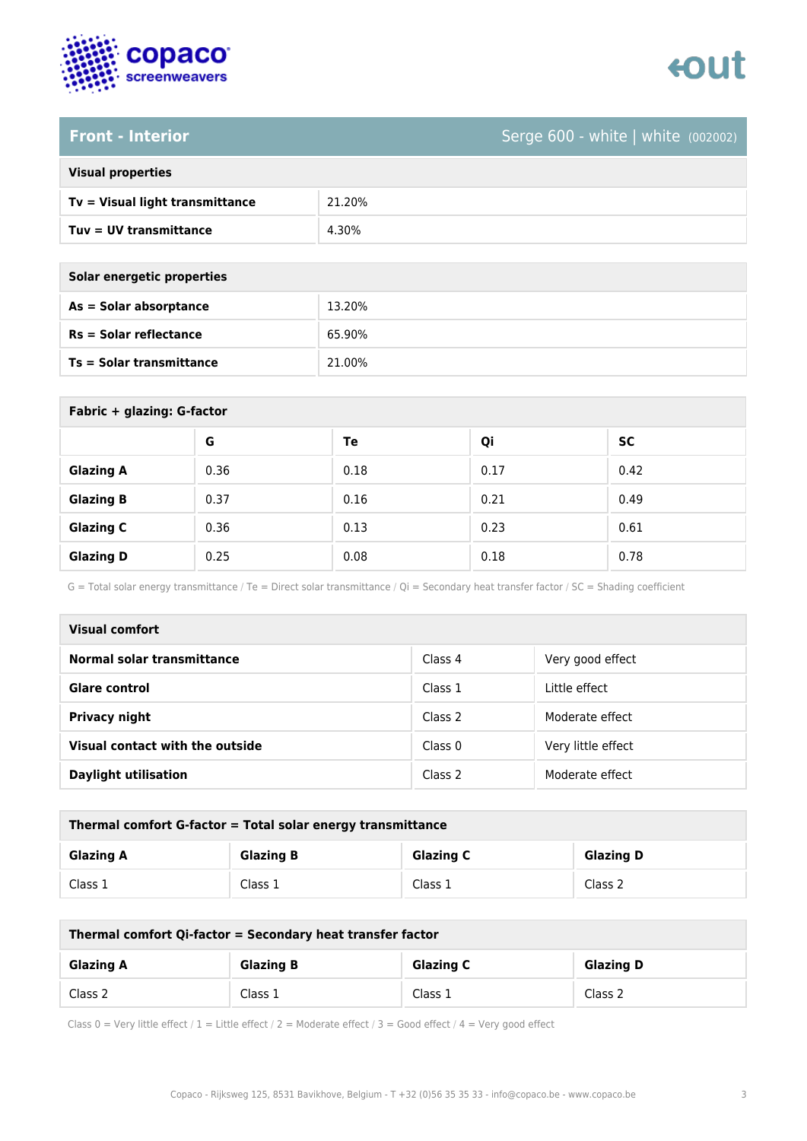

### **Front - Interior** Serge 600 - white | white (002002)

| <b>Visual properties</b> |  |  |
|--------------------------|--|--|
|                          |  |  |

| Tv = Visual light transmittance | 21.20% |
|---------------------------------|--------|
| Tuv = UV transmittance          | 4.30%  |

| Solar energetic properties      |        |
|---------------------------------|--------|
| As = Solar absorptance          | 13.20% |
| $Rs = Solar$ reflectance        | 65.90% |
| <b>Ts = Solar transmittance</b> | 21.00% |

| Fabric + glazing: G-factor |      |      |      |      |
|----------------------------|------|------|------|------|
|                            | G    | Te   | Qi   | SC   |
| <b>Glazing A</b>           | 0.36 | 0.18 | 0.17 | 0.42 |
| <b>Glazing B</b>           | 0.37 | 0.16 | 0.21 | 0.49 |
| <b>Glazing C</b>           | 0.36 | 0.13 | 0.23 | 0.61 |
| <b>Glazing D</b>           | 0.25 | 0.08 | 0.18 | 0.78 |

G = Total solar energy transmittance / Te = Direct solar transmittance / Qi = Secondary heat transfer factor / SC = Shading coefficient

| Visual comfort                  |         |                    |
|---------------------------------|---------|--------------------|
| Normal solar transmittance      | Class 4 | Very good effect   |
| Glare control                   | Class 1 | Little effect      |
| <b>Privacy night</b>            | Class 2 | Moderate effect    |
| Visual contact with the outside | Class 0 | Very little effect |
| <b>Daylight utilisation</b>     | Class 2 | Moderate effect    |

| Thermal comfort G-factor = Total solar energy transmittance                  |         |         |         |  |
|------------------------------------------------------------------------------|---------|---------|---------|--|
| <b>Glazing C</b><br><b>Glazing B</b><br><b>Glazing D</b><br><b>Glazing A</b> |         |         |         |  |
| Class 1                                                                      | Class 1 | Class 1 | Class 2 |  |

| Thermal comfort Qi-factor = Secondary heat transfer factor                   |         |         |         |
|------------------------------------------------------------------------------|---------|---------|---------|
| <b>Glazing C</b><br><b>Glazing B</b><br><b>Glazing D</b><br><b>Glazing A</b> |         |         |         |
| Class 2                                                                      | Class 1 | Class 1 | Class 2 |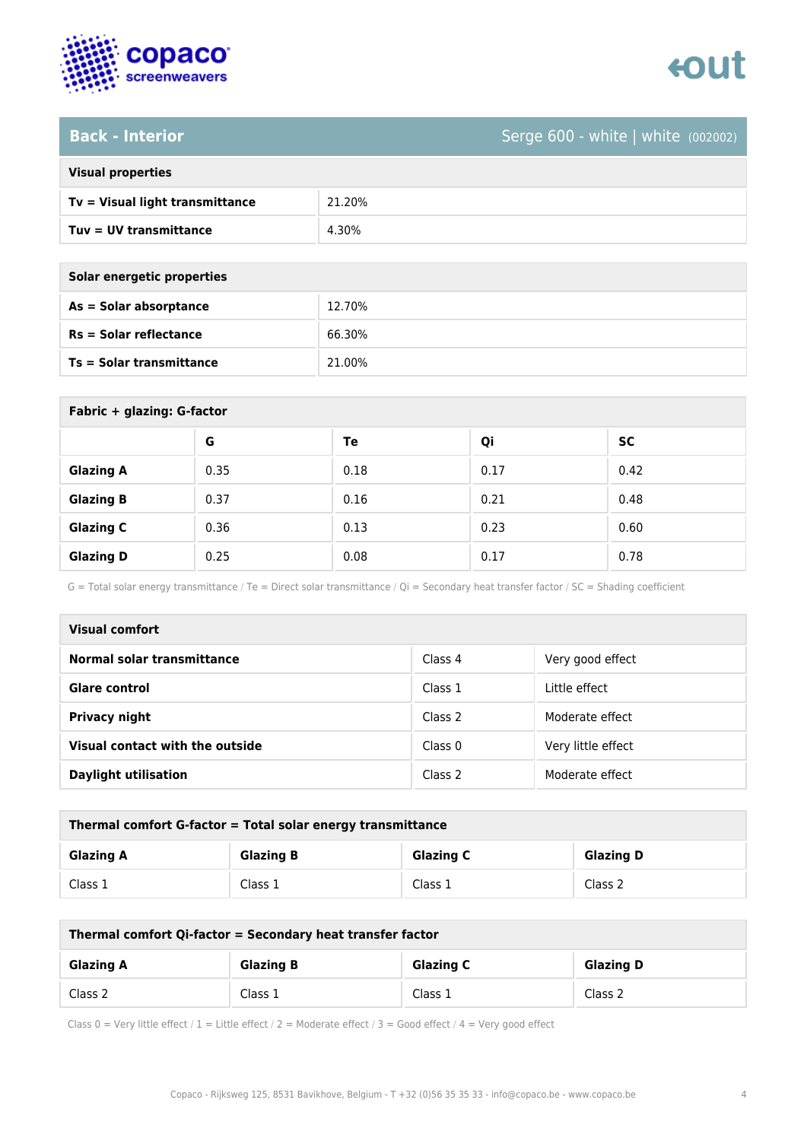

### **Back - Interior** Serge 600 - white | white (002002)

| <b>Visual properties</b> |  |  |
|--------------------------|--|--|

| Tv = Visual light transmittance | 21.20% |
|---------------------------------|--------|
| Tuy = UV transmittance          | 4.30%  |

| Solar energetic properties      |        |  |
|---------------------------------|--------|--|
| As = Solar absorptance          | 12.70% |  |
| $Rs = Solar$ reflectance        | 66.30% |  |
| <b>Ts = Solar transmittance</b> | 21.00% |  |

| Fabric + glazing: G-factor |      |      |      |           |
|----------------------------|------|------|------|-----------|
|                            | G    | Te   | Qi   | <b>SC</b> |
| <b>Glazing A</b>           | 0.35 | 0.18 | 0.17 | 0.42      |
| <b>Glazing B</b>           | 0.37 | 0.16 | 0.21 | 0.48      |
| <b>Glazing C</b>           | 0.36 | 0.13 | 0.23 | 0.60      |
| <b>Glazing D</b>           | 0.25 | 0.08 | 0.17 | 0.78      |

G = Total solar energy transmittance / Te = Direct solar transmittance / Qi = Secondary heat transfer factor / SC = Shading coefficient

| Visual comfort                  |         |                    |  |  |
|---------------------------------|---------|--------------------|--|--|
| Normal solar transmittance      | Class 4 | Very good effect   |  |  |
| Glare control                   | Class 1 | Little effect      |  |  |
| <b>Privacy night</b>            | Class 2 | Moderate effect    |  |  |
| Visual contact with the outside | Class 0 | Very little effect |  |  |
| <b>Daylight utilisation</b>     | Class 2 | Moderate effect    |  |  |

| Thermal comfort G-factor = Total solar energy transmittance                  |         |         |         |  |
|------------------------------------------------------------------------------|---------|---------|---------|--|
| <b>Glazing C</b><br><b>Glazing B</b><br><b>Glazing D</b><br><b>Glazing A</b> |         |         |         |  |
| Class 1                                                                      | Class 1 | Class 1 | Class 2 |  |

| Thermal comfort Qi-factor = Secondary heat transfer factor                   |         |         |         |  |
|------------------------------------------------------------------------------|---------|---------|---------|--|
| <b>Glazing C</b><br><b>Glazing B</b><br><b>Glazing D</b><br><b>Glazing A</b> |         |         |         |  |
| Class 2                                                                      | Class 1 | Class 1 | Class 2 |  |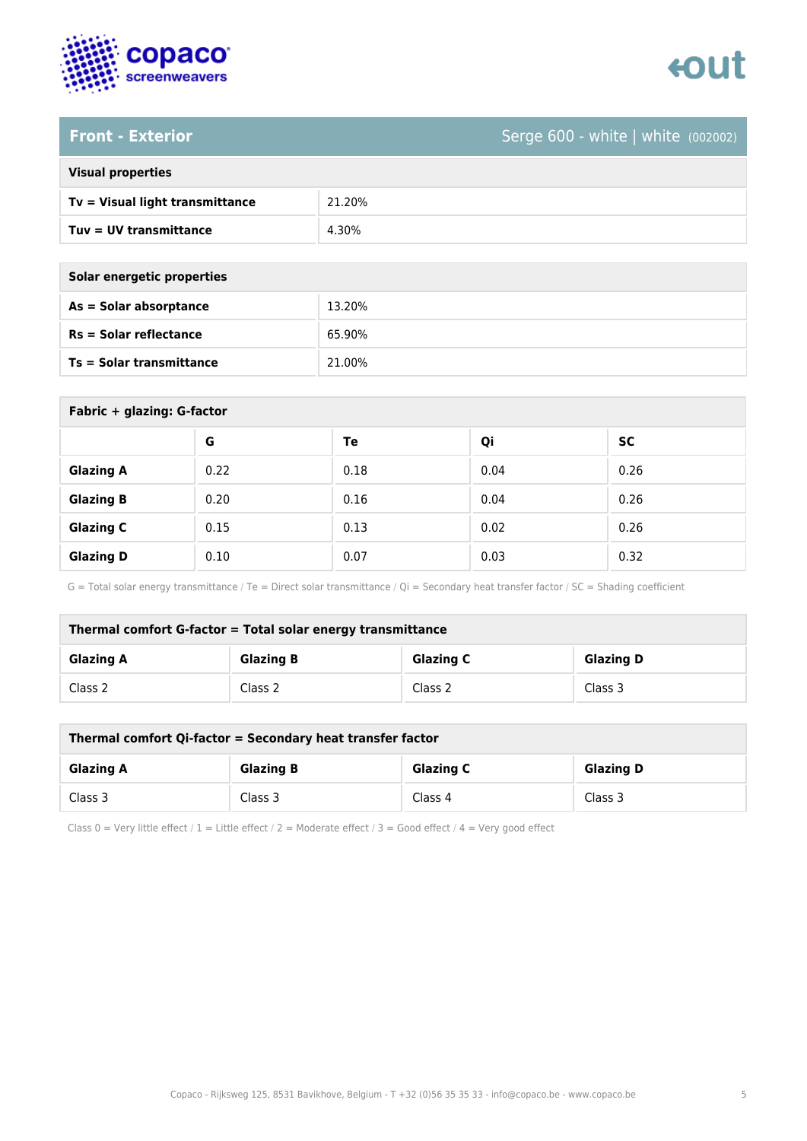

# tout

Front - Exterior **Serge 600 - white (002002)** 

| <b>Visual properties</b> |  |
|--------------------------|--|

| Tv = Visual light transmittance | 21.20% |
|---------------------------------|--------|
| Tuy = UV transmittance          | 4.30%  |

| Solar energetic properties |        |  |
|----------------------------|--------|--|
| As = Solar absorptance     | 13.20% |  |
| $Rs = Solar$ reflectance   | 65.90% |  |
| Ts = Solar transmittance   | 21.00% |  |

| Fabric + glazing: G-factor |      |      |      |           |
|----------------------------|------|------|------|-----------|
|                            | G    | Te   | Qi   | <b>SC</b> |
| <b>Glazing A</b>           | 0.22 | 0.18 | 0.04 | 0.26      |
| <b>Glazing B</b>           | 0.20 | 0.16 | 0.04 | 0.26      |
| <b>Glazing C</b>           | 0.15 | 0.13 | 0.02 | 0.26      |
| <b>Glazing D</b>           | 0.10 | 0.07 | 0.03 | 0.32      |

G = Total solar energy transmittance / Te = Direct solar transmittance / Qi = Secondary heat transfer factor / SC = Shading coefficient

| Thermal comfort G-factor = Total solar energy transmittance                  |         |         |         |  |
|------------------------------------------------------------------------------|---------|---------|---------|--|
| <b>Glazing C</b><br><b>Glazing B</b><br><b>Glazing D</b><br><b>Glazing A</b> |         |         |         |  |
| Class 2                                                                      | Class 2 | Class 2 | Class 3 |  |

| Thermal comfort Qi-factor = Secondary heat transfer factor                   |         |         |         |  |
|------------------------------------------------------------------------------|---------|---------|---------|--|
| <b>Glazing C</b><br><b>Glazing B</b><br><b>Glazing D</b><br><b>Glazing A</b> |         |         |         |  |
| Class 3                                                                      | Class 3 | Class 4 | Class 3 |  |